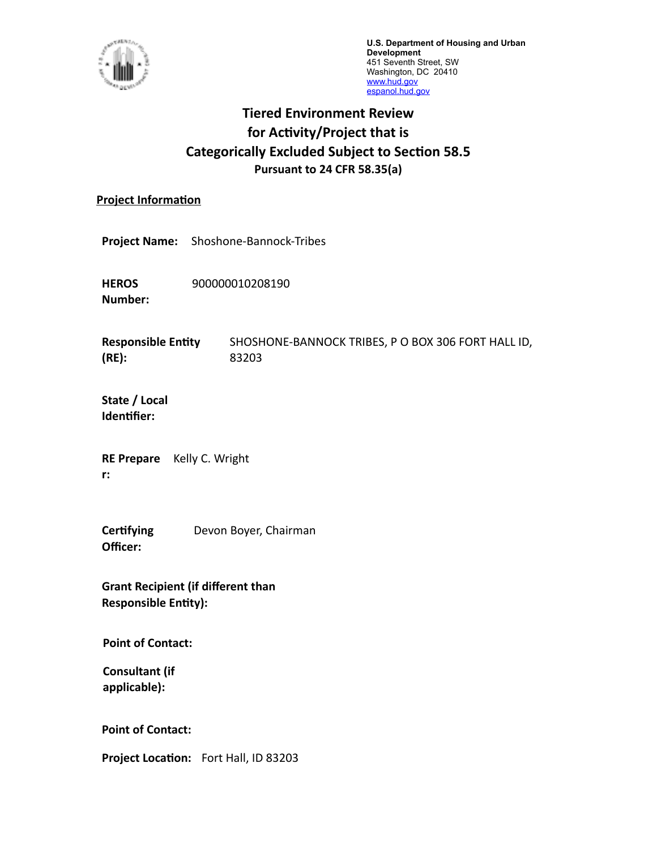

**U.S. Department of Housing and Urban Development** 451 Seventh Street, SW Washington, DC 20410 [www.hud.gov](http://www.hud.gov) espanol.hud.gov

## **Tiered Environment Review for Activity/Project that is Categorically Excluded Subject to Section 58.5 Pursuant to 24 CFR 58.35(a)**

#### **Project Information**

**Project Name:** Shoshone-Bannock-Tribes

**HEROS Number:** 900000010208190

**Responsible Entity (RE):** SHOSHONE-BANNOCK TRIBES, P O BOX 306 FORT HALL ID, 83203

**State / Local Identifier:**

**RE Prepare** Kelly C. Wright **r:**

**Certifying Officer:** Devon Boyer, Chairman

**Grant Recipient (if different than Responsible Entity):**

**Point of Contact:** 

**Consultant (if applicable):**

**Point of Contact:** 

**Project Location:** Fort Hall, ID 83203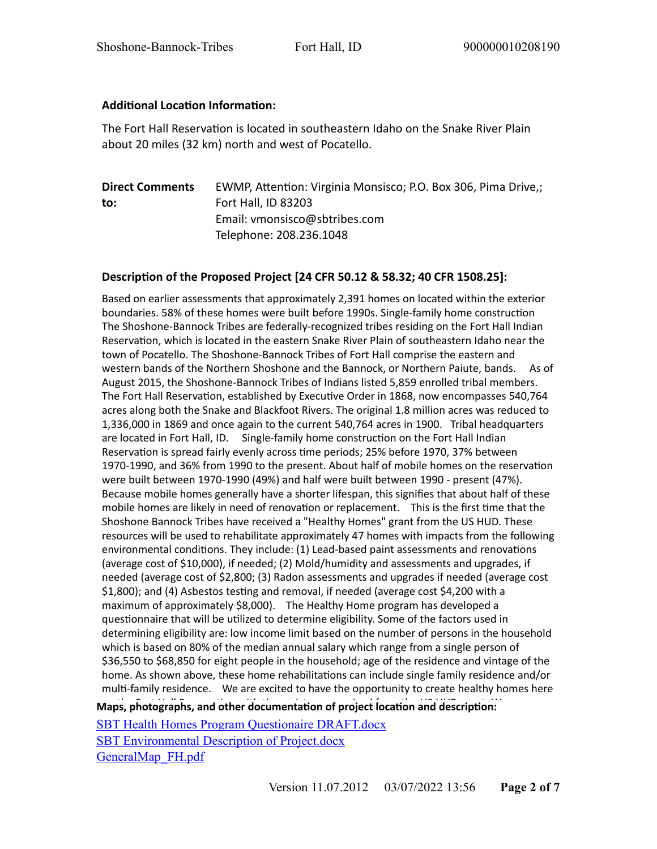### **Additional Location Information:**

The Fort Hall Reservation is located in southeastern Idaho on the Snake River Plain about 20 miles (32 km) north and west of Pocatello.

**Direct Comments to:** EWMP, Attention: Virginia Monsisco; P.O. Box 306, Pima Drive,; Fort Hall, ID 83203 Email: vmonsisco@sbtribes.com Telephone: 208.236.1048

#### **Description of the Proposed Project [24 CFR 50.12 & 58.32; 40 CFR 1508.25]:**

Maps, photographs, and other documentation of project location and description: Based on earlier assessments that approximately 2,391 homes on located within the exterior boundaries. 58% of these homes were built before 1990s. Single-family home construction The Shoshone-Bannock Tribes are federally-recognized tribes residing on the Fort Hall Indian Reservation, which is located in the eastern Snake River Plain of southeastern Idaho near the town of Pocatello. The Shoshone-Bannock Tribes of Fort Hall comprise the eastern and western bands of the Northern Shoshone and the Bannock, or Northern Paiute, bands. As of August 2015, the Shoshone-Bannock Tribes of Indians listed 5,859 enrolled tribal members. The Fort Hall Reservation, established by Executive Order in 1868, now encompasses 540,764 acres along both the Snake and Blackfoot Rivers. The original 1.8 million acres was reduced to 1,336,000 in 1869 and once again to the current 540,764 acres in 1900. Tribal headquarters are located in Fort Hall, ID. Single-family home construction on the Fort Hall Indian Reservation is spread fairly evenly across time periods; 25% before 1970, 37% between 1970-1990, and 36% from 1990 to the present. About half of mobile homes on the reservation were built between 1970-1990 (49%) and half were built between 1990 - present (47%). Because mobile homes generally have a shorter lifespan, this signifies that about half of these mobile homes are likely in need of renovation or replacement. This is the first time that the Shoshone Bannock Tribes have received a "Healthy Homes" grant from the US HUD. These resources will be used to rehabilitate approximately 47 homes with impacts from the following environmental conditions. They include: (1) Lead-based paint assessments and renovations (average cost of \$10,000), if needed; (2) Mold/humidity and assessments and upgrades, if needed (average cost of \$2,800; (3) Radon assessments and upgrades if needed (average cost \$1,800); and (4) Asbestos testing and removal, if needed (average cost \$4,200 with a maximum of approximately \$8,000). The Healthy Home program has developed a questionnaire that will be utilized to determine eligibility. Some of the factors used in determining eligibility are: low income limit based on the number of persons in the household which is based on 80% of the median annual salary which range from a single person of \$36,550 to \$68,850 for eight people in the household; age of the residence and vintage of the home. As shown above, these home rehabilitations can include single family residence and/or multi-family residence. We are excited to have the opportunity to create healthy homes here

[SBT Health Homes Program Questionaire DRAFT.docx](https://heros.hud.gov/heros/faces/downloadFile.xhtml?erUploadId=900000011259693) [SBT Environmental Description of Project.docx](https://heros.hud.gov/heros/faces/downloadFile.xhtml?erUploadId=900000011071958) [GeneralMap\\_FH.pdf](https://heros.hud.gov/heros/faces/downloadFile.xhtml?erUploadId=900000011071885)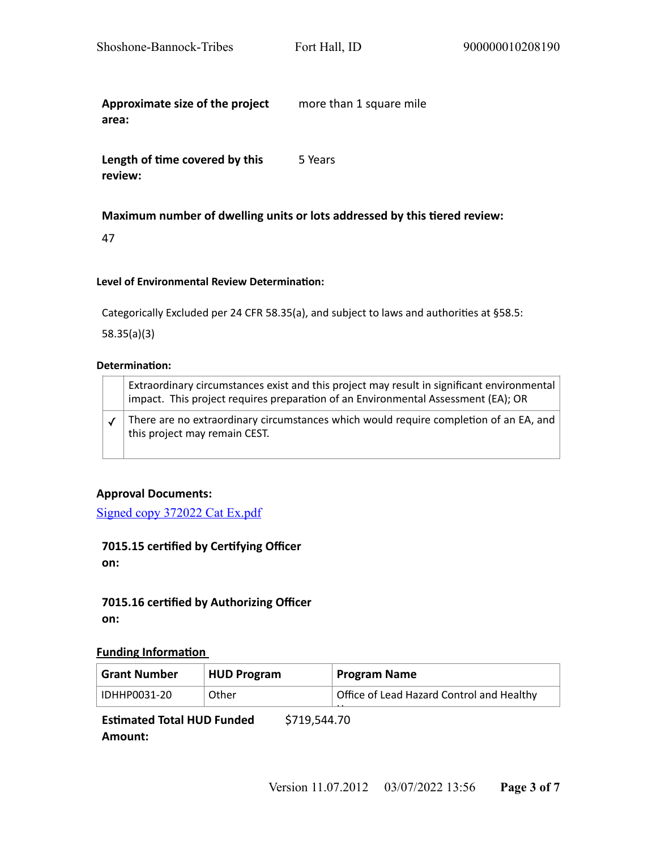**Approximate size of the project area:**  more than 1 square mile

**Length of time covered by this review:**  5 Years

#### **Maximum number of dwelling units or lots addressed by this tiered review:**

47

#### **Level of Environmental Review Determination:**

Categorically Excluded per 24 CFR 58.35(a), and subject to laws and authorities at §58.5:

58.35(a)(3)

#### **Determination:**

| Extraordinary circumstances exist and this project may result in significant environmental<br>impact. This project requires preparation of an Environmental Assessment (EA); OR |
|---------------------------------------------------------------------------------------------------------------------------------------------------------------------------------|
| There are no extraordinary circumstances which would require completion of an EA, and<br>this project may remain CEST.                                                          |

#### **Approval Documents:**

[Signed copy 372022 Cat Ex.pdf](https://heros.hud.gov/heros/faces/downloadFile.xhtml?erUploadId=900000011276867)

# **7015.15 certified by Certifying Officer**

**on:**

#### **7015.16 certified by Authorizing Officer on:**

#### **Funding Information**

| <b>Grant Number</b> | <b>HUD Program</b> | <b>Program Name</b>                       |
|---------------------|--------------------|-------------------------------------------|
| IDHHP0031-20        | Other              | Office of Lead Hazard Control and Healthy |
|                     |                    |                                           |

**Estimated Total HUD Funded Amount:**  \$719,544.70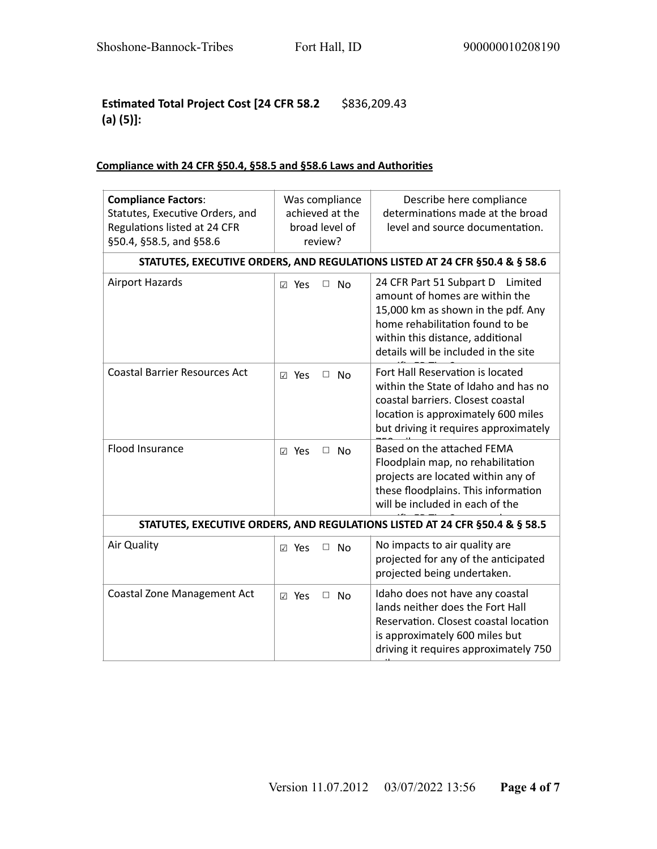### **Estimated Total Project Cost [24 CFR 58.2**  \$836,209.43 **(a) (5)]:**

## **Compliance with 24 CFR §50.4, §58.5 and §58.6 Laws and Authorities**

| <b>Compliance Factors:</b><br>Statutes, Executive Orders, and<br>Regulations listed at 24 CFR<br>§50.4, §58.5, and §58.6 | Was compliance<br>achieved at the<br>broad level of<br>review? | Describe here compliance<br>determinations made at the broad<br>level and source documentation.                                                                                                                            |  |  |
|--------------------------------------------------------------------------------------------------------------------------|----------------------------------------------------------------|----------------------------------------------------------------------------------------------------------------------------------------------------------------------------------------------------------------------------|--|--|
| STATUTES, EXECUTIVE ORDERS, AND REGULATIONS LISTED AT 24 CFR §50.4 & § 58.6                                              |                                                                |                                                                                                                                                                                                                            |  |  |
| <b>Airport Hazards</b>                                                                                                   | Yes<br>$\Box$<br><b>No</b><br>$\sqrt{ }$                       | 24 CFR Part 51 Subpart D<br>Limited<br>amount of homes are within the<br>15,000 km as shown in the pdf. Any<br>home rehabilitation found to be<br>within this distance, additional<br>details will be included in the site |  |  |
| <b>Coastal Barrier Resources Act</b>                                                                                     | ⊠ Yes<br>□<br><b>No</b>                                        | Fort Hall Reservation is located<br>within the State of Idaho and has no<br>coastal barriers. Closest coastal<br>location is approximately 600 miles<br>but driving it requires approximately                              |  |  |
| Flood Insurance                                                                                                          | ⊠ Yes<br>$\Box$<br>Nο                                          | Based on the attached FEMA<br>Floodplain map, no rehabilitation<br>projects are located within any of<br>these floodplains. This information<br>will be included in each of the                                            |  |  |
| STATUTES, EXECUTIVE ORDERS, AND REGULATIONS LISTED AT 24 CFR §50.4 & § 58.5                                              |                                                                |                                                                                                                                                                                                                            |  |  |
| Air Quality                                                                                                              | $\Box$ No<br>⊠ Yes                                             | No impacts to air quality are<br>projected for any of the anticipated<br>projected being undertaken.                                                                                                                       |  |  |
| <b>Coastal Zone Management Act</b>                                                                                       | ☑ Yes<br>$\Box$ No                                             | Idaho does not have any coastal<br>lands neither does the Fort Hall<br>Reservation. Closest coastal location<br>is approximately 600 miles but<br>driving it requires approximately 750                                    |  |  |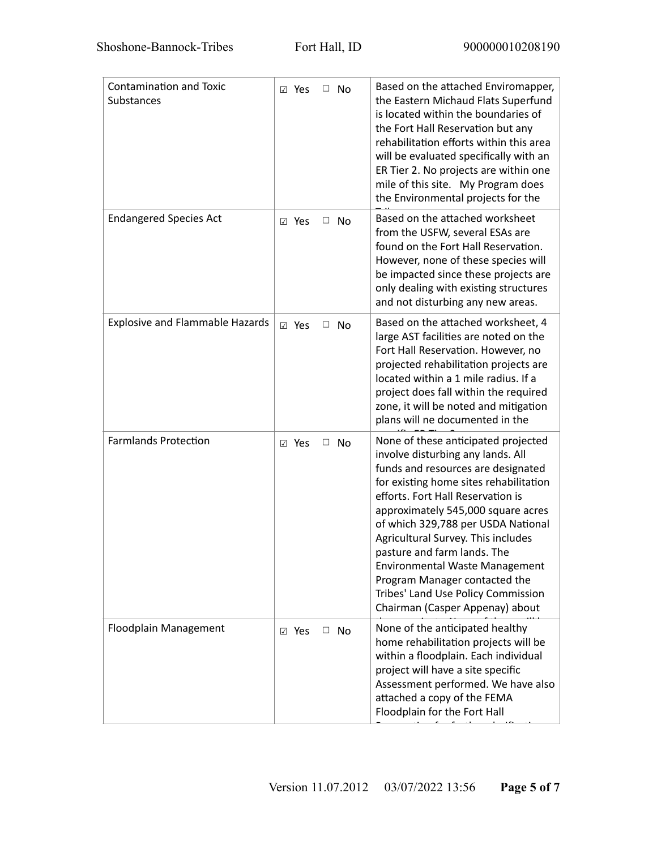| <b>Contamination and Toxic</b><br><b>Substances</b> | $\Box$ No<br>⊠ Yes        | Based on the attached Enviromapper,<br>the Eastern Michaud Flats Superfund<br>is located within the boundaries of<br>the Fort Hall Reservation but any<br>rehabilitation efforts within this area<br>will be evaluated specifically with an<br>ER Tier 2. No projects are within one<br>mile of this site. My Program does<br>the Environmental projects for the                                                                                                                                  |
|-----------------------------------------------------|---------------------------|---------------------------------------------------------------------------------------------------------------------------------------------------------------------------------------------------------------------------------------------------------------------------------------------------------------------------------------------------------------------------------------------------------------------------------------------------------------------------------------------------|
| <b>Endangered Species Act</b>                       | $\Box$ No<br>⊠ Yes        | Based on the attached worksheet<br>from the USFW, several ESAs are<br>found on the Fort Hall Reservation.<br>However, none of these species will<br>be impacted since these projects are<br>only dealing with existing structures<br>and not disturbing any new areas.                                                                                                                                                                                                                            |
| <b>Explosive and Flammable Hazards</b>              | <b>⊠</b> Yes<br>□<br>No   | Based on the attached worksheet, 4<br>large AST facilities are noted on the<br>Fort Hall Reservation. However, no<br>projected rehabilitation projects are<br>located within a 1 mile radius. If a<br>project does fall within the required<br>zone, it will be noted and mitigation<br>plans will ne documented in the                                                                                                                                                                           |
| <b>Farmlands Protection</b>                         | ⊠ Yes<br>$\Box$ No        | None of these anticipated projected<br>involve disturbing any lands. All<br>funds and resources are designated<br>for existing home sites rehabilitation<br>efforts. Fort Hall Reservation is<br>approximately 545,000 square acres<br>of which 329,788 per USDA National<br>Agricultural Survey. This includes<br>pasture and farm lands. The<br><b>Environmental Waste Management</b><br>Program Manager contacted the<br>Tribes' Land Use Policy Commission<br>Chairman (Casper Appenay) about |
| Floodplain Management                               | <b>⊠</b> Yes<br>$\Box$ No | None of the anticipated healthy<br>home rehabilitation projects will be<br>within a floodplain. Each individual<br>project will have a site specific<br>Assessment performed. We have also<br>attached a copy of the FEMA<br>Floodplain for the Fort Hall                                                                                                                                                                                                                                         |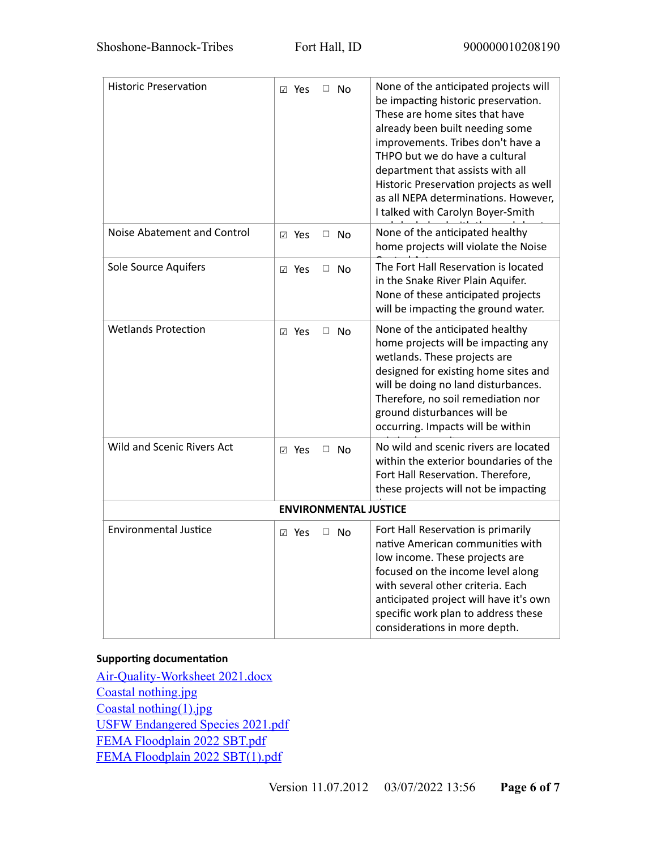| <b>Historic Preservation</b> | ⊠ Yes<br>$\Box$ No      | None of the anticipated projects will<br>be impacting historic preservation.<br>These are home sites that have<br>already been built needing some<br>improvements. Tribes don't have a<br>THPO but we do have a cultural<br>department that assists with all<br>Historic Preservation projects as well<br>as all NEPA determinations. However,<br>I talked with Carolyn Boyer-Smith |  |  |  |  |
|------------------------------|-------------------------|-------------------------------------------------------------------------------------------------------------------------------------------------------------------------------------------------------------------------------------------------------------------------------------------------------------------------------------------------------------------------------------|--|--|--|--|
| Noise Abatement and Control  | ⊠ Yes<br>□<br>No        | None of the anticipated healthy<br>home projects will violate the Noise                                                                                                                                                                                                                                                                                                             |  |  |  |  |
| Sole Source Aquifers         | ⊠ Yes<br>No<br>□        | The Fort Hall Reservation is located<br>in the Snake River Plain Aquifer.<br>None of these anticipated projects<br>will be impacting the ground water.                                                                                                                                                                                                                              |  |  |  |  |
| <b>Wetlands Protection</b>   | ⊠ Yes<br>$\Box$<br>- No | None of the anticipated healthy<br>home projects will be impacting any<br>wetlands. These projects are<br>designed for existing home sites and<br>will be doing no land disturbances.<br>Therefore, no soil remediation nor<br>ground disturbances will be<br>occurring. Impacts will be within                                                                                     |  |  |  |  |
| Wild and Scenic Rivers Act   | ⊠ Yes<br>No<br>□.       | No wild and scenic rivers are located<br>within the exterior boundaries of the<br>Fort Hall Reservation. Therefore,<br>these projects will not be impacting                                                                                                                                                                                                                         |  |  |  |  |
| <b>ENVIRONMENTAL JUSTICE</b> |                         |                                                                                                                                                                                                                                                                                                                                                                                     |  |  |  |  |
| <b>Environmental Justice</b> | Yes<br>$\Box$ No<br>☑   | Fort Hall Reservation is primarily<br>native American communities with<br>low income. These projects are<br>focused on the income level along<br>with several other criteria. Each<br>anticipated project will have it's own<br>specific work plan to address these<br>considerations in more depth.                                                                                |  |  |  |  |

#### **Supporting documentation**

[Air-Quality-Worksheet 2021.docx](https://heros.hud.gov/heros/faces/downloadFile.xhtml?erUploadId=900000011202082) [Coastal nothing.jpg](https://heros.hud.gov/heros/faces/downloadFile.xhtml?erUploadId=900000011259794) [Coastal nothing\(1\).jpg](https://heros.hud.gov/heros/faces/downloadFile.xhtml?erUploadId=900000011259799) [USFW Endangered Species 2021.pdf](https://heros.hud.gov/heros/faces/downloadFile.xhtml?erUploadId=900000011202662) [FEMA Floodplain 2022 SBT.pdf](https://heros.hud.gov/heros/faces/downloadFile.xhtml?erUploadId=900000011261629) [FEMA Floodplain 2022 SBT\(1\).pdf](https://heros.hud.gov/heros/faces/downloadFile.xhtml?erUploadId=900000011261630)